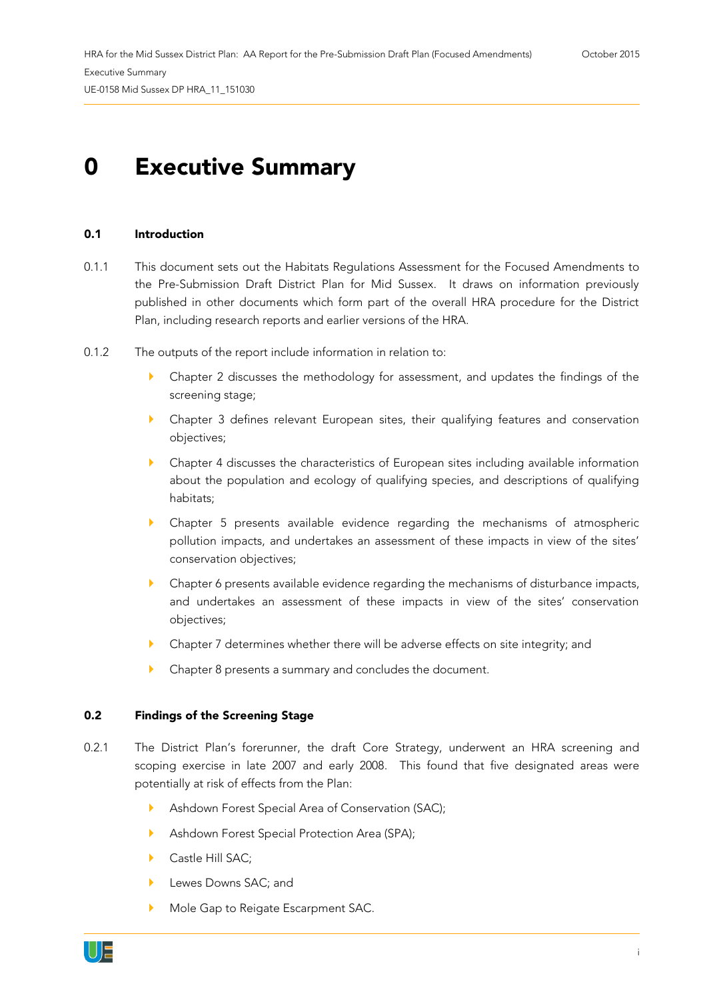## **0 Executive Summary**

## **0.1 Introduction**

- 0.1.1 This document sets out the Habitats Regulations Assessment for the Focused Amendments to the Pre-Submission Draft District Plan for Mid Sussex. It draws on information previously published in other documents which form part of the overall HRA procedure for the District Plan, including research reports and earlier versions of the HRA.
- 0.1.2 The outputs of the report include information in relation to:
	- Chapter 2 discusses the methodology for assessment, and updates the findings of the screening stage;
	- Chapter 3 defines relevant European sites, their qualifying features and conservation objectives;
	- Chapter 4 discusses the characteristics of European sites including available information about the population and ecology of qualifying species, and descriptions of qualifying habitats;
	- Chapter 5 presents available evidence regarding the mechanisms of atmospheric pollution impacts, and undertakes an assessment of these impacts in view of the sites' conservation objectives;
	- Chapter 6 presents available evidence regarding the mechanisms of disturbance impacts, and undertakes an assessment of these impacts in view of the sites' conservation objectives;
	- Chapter 7 determines whether there will be adverse effects on site integrity; and
	- **Chapter 8 presents a summary and concludes the document.**

## **0.2 Findings of the Screening Stage**

- 0.2.1 The District Plan's forerunner, the draft Core Strategy, underwent an HRA screening and scoping exercise in late 2007 and early 2008. This found that five designated areas were potentially at risk of effects from the Plan:
	- Ashdown Forest Special Area of Conservation (SAC);
	- Ashdown Forest Special Protection Area (SPA);
	- Castle Hill SAC:
	- Lewes Downs SAC; and
	- Mole Gap to Reigate Escarpment SAC.